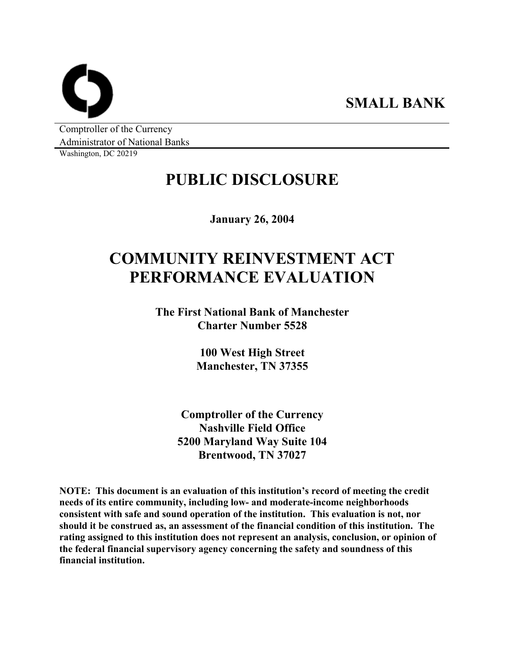**SMALL BANK** 

Comptroller of the Currency Administrator of National Banks

Washington, DC 20219

# **PUBLIC DISCLOSURE**

**January 26, 2004** 

# **COMMUNITY REINVESTMENT ACT PERFORMANCE EVALUATION**

**The First National Bank of Manchester Charter Number 5528** 

> **100 West High Street Manchester, TN 37355**

**Comptroller of the Currency Nashville Field Office 5200 Maryland Way Suite 104 Brentwood, TN 37027** 

**NOTE: This document is an evaluation of this institution's record of meeting the credit needs of its entire community, including low- and moderate-income neighborhoods consistent with safe and sound operation of the institution. This evaluation is not, nor should it be construed as, an assessment of the financial condition of this institution. The rating assigned to this institution does not represent an analysis, conclusion, or opinion of the federal financial supervisory agency concerning the safety and soundness of this financial institution.**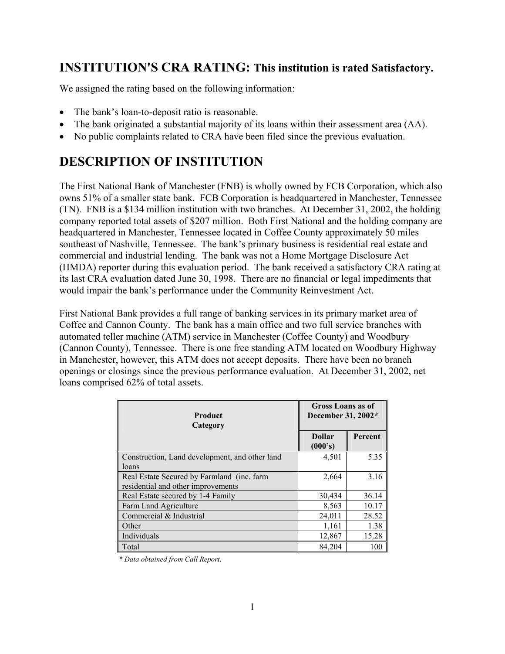## **INSTITUTION'S CRA RATING: This institution is rated Satisfactory.**

We assigned the rating based on the following information:

- The bank's loan-to-deposit ratio is reasonable.
- The bank originated a substantial majority of its loans within their assessment area (AA).
- No public complaints related to CRA have been filed since the previous evaluation.

# **DESCRIPTION OF INSTITUTION**

The First National Bank of Manchester (FNB) is wholly owned by FCB Corporation, which also owns 51% of a smaller state bank. FCB Corporation is headquartered in Manchester, Tennessee (TN). FNB is a \$134 million institution with two branches. At December 31, 2002, the holding company reported total assets of \$207 million. Both First National and the holding company are headquartered in Manchester, Tennessee located in Coffee County approximately 50 miles southeast of Nashville, Tennessee. The bank's primary business is residential real estate and commercial and industrial lending. The bank was not a Home Mortgage Disclosure Act (HMDA) reporter during this evaluation period. The bank received a satisfactory CRA rating at its last CRA evaluation dated June 30, 1998. There are no financial or legal impediments that would impair the bank's performance under the Community Reinvestment Act.

First National Bank provides a full range of banking services in its primary market area of Coffee and Cannon County. The bank has a main office and two full service branches with automated teller machine (ATM) service in Manchester (Coffee County) and Woodbury (Cannon County), Tennessee. There is one free standing ATM located on Woodbury Highway in Manchester, however, this ATM does not accept deposits. There have been no branch openings or closings since the previous performance evaluation. At December 31, 2002, net loans comprised 62% of total assets.

| <b>Product</b><br>Category                                                       | <b>Gross Loans as of</b><br>December 31, 2002* |         |  |  |
|----------------------------------------------------------------------------------|------------------------------------------------|---------|--|--|
|                                                                                  | <b>Dollar</b><br>(000's)                       | Percent |  |  |
| Construction, Land development, and other land<br>loans                          | 4,501                                          | 5.35    |  |  |
| Real Estate Secured by Farmland (inc. farm<br>residential and other improvements | 2,664                                          | 3.16    |  |  |
| Real Estate secured by 1-4 Family                                                | 30,434                                         | 36.14   |  |  |
| Farm Land Agriculture                                                            | 8,563                                          | 10.17   |  |  |
| Commercial & Industrial                                                          | 24,011                                         | 28.52   |  |  |
| Other                                                                            | 1,161                                          | 1.38    |  |  |
| Individuals                                                                      | 12,867                                         | 15.28   |  |  |
| Total                                                                            | 84.204                                         | 100     |  |  |

*\* Data obtained from Call Report.*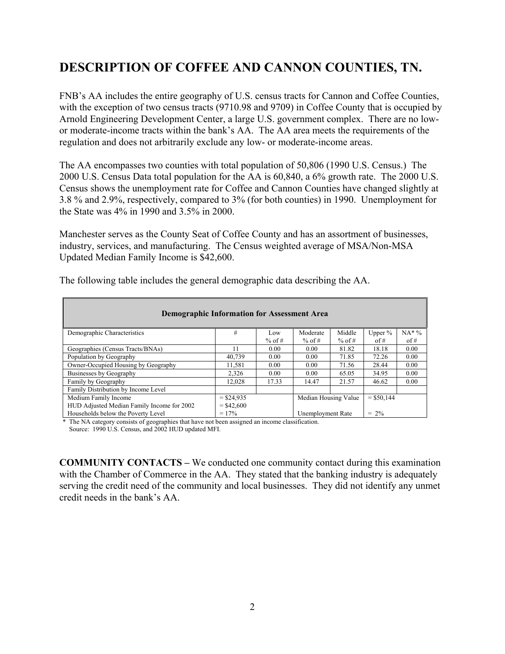## **DESCRIPTION OF COFFEE AND CANNON COUNTIES, TN.**

FNB's AA includes the entire geography of U.S. census tracts for Cannon and Coffee Counties, with the exception of two census tracts (9710.98 and 9709) in Coffee County that is occupied by Arnold Engineering Development Center, a large U.S. government complex. There are no lowor moderate-income tracts within the bank's AA. The AA area meets the requirements of the regulation and does not arbitrarily exclude any low- or moderate-income areas.

The AA encompasses two counties with total population of 50,806 (1990 U.S. Census.) The 2000 U.S. Census Data total population for the AA is 60,840, a 6% growth rate. The 2000 U.S. Census shows the unemployment rate for Coffee and Cannon Counties have changed slightly at 3.8 % and 2.9%, respectively, compared to 3% (for both counties) in 1990. Unemployment for the State was 4% in 1990 and 3.5% in 2000.

Manchester serves as the County Seat of Coffee County and has an assortment of businesses, industry, services, and manufacturing. The Census weighted average of MSA/Non-MSA Updated Median Family Income is \$42,600.

| <b>Demographic Information for Assessment Area</b> |              |          |                              |          |              |                   |  |  |  |  |
|----------------------------------------------------|--------------|----------|------------------------------|----------|--------------|-------------------|--|--|--|--|
| Demographic Characteristics                        | #            | Low      | Moderate                     | Middle   | Upper $\%$   | $NA*$ %           |  |  |  |  |
|                                                    |              | $%$ of # | $%$ of #                     | $%$ of # | of #         | $\overline{of}$ # |  |  |  |  |
| Geographies (Census Tracts/BNAs)                   | 11           | 0.00     | 0.00                         | 81.82    | 18.18        | 0.00              |  |  |  |  |
| Population by Geography                            | 40.739       | 0.00     | 0.00                         | 71.85    | 72.26        | 0.00              |  |  |  |  |
| Owner-Occupied Housing by Geography                | 11,581       | 0.00     | 0.00                         | 71.56    | 28.44        | 0.00              |  |  |  |  |
| Businesses by Geography                            | 2,326        | 0.00     | 0.00                         | 65.05    | 34.95        | 0.00              |  |  |  |  |
| Family by Geography                                | 12.028       | 17.33    | 14.47                        | 21.57    | 46.62        | 0.00              |  |  |  |  |
| Family Distribution by Income Level                |              |          |                              |          |              |                   |  |  |  |  |
| Medium Family Income                               | $=$ \$24,935 |          | Median Housing Value         |          | $=$ \$50,144 |                   |  |  |  |  |
| HUD Adjusted Median Family Income for 2002         | $=$ \$42,600 |          |                              |          |              |                   |  |  |  |  |
| Households below the Poverty Level                 | $= 17\%$     |          | $= 2\%$<br>Unemployment Rate |          |              |                   |  |  |  |  |

The following table includes the general demographic data describing the AA.

 \* The NA category consists of geographies that have not been assigned an income classification. Source: 1990 U.S. Census, and 2002 HUD updated MFI.

**COMMUNITY CONTACTS –** We conducted one community contact during this examination with the Chamber of Commerce in the AA. They stated that the banking industry is adequately serving the credit need of the community and local businesses. They did not identify any unmet credit needs in the bank's AA.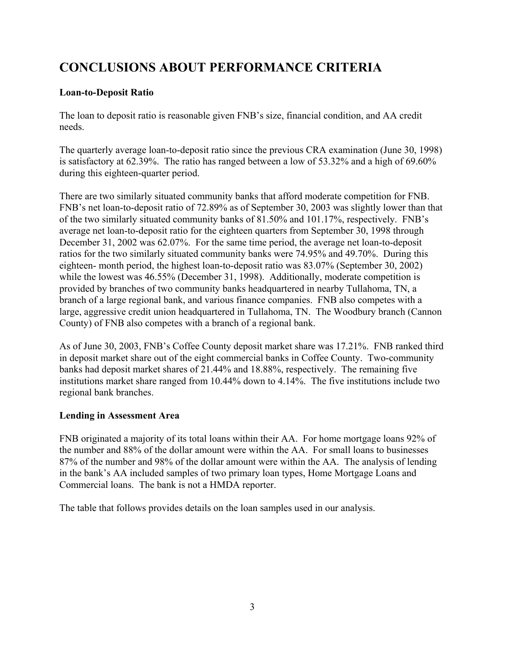# **CONCLUSIONS ABOUT PERFORMANCE CRITERIA**

### **Loan-to-Deposit Ratio**

The loan to deposit ratio is reasonable given FNB's size, financial condition, and AA credit needs.

The quarterly average loan-to-deposit ratio since the previous CRA examination (June 30, 1998) is satisfactory at 62.39%. The ratio has ranged between a low of 53.32% and a high of 69.60% during this eighteen-quarter period.

There are two similarly situated community banks that afford moderate competition for FNB. FNB's net loan-to-deposit ratio of 72.89% as of September 30, 2003 was slightly lower than that of the two similarly situated community banks of 81.50% and 101.17%, respectively. FNB's average net loan-to-deposit ratio for the eighteen quarters from September 30, 1998 through December 31, 2002 was 62.07%. For the same time period, the average net loan-to-deposit ratios for the two similarly situated community banks were 74.95% and 49.70%. During this eighteen- month period, the highest loan-to-deposit ratio was 83.07% (September 30, 2002) while the lowest was 46.55% (December 31, 1998). Additionally, moderate competition is provided by branches of two community banks headquartered in nearby Tullahoma, TN, a branch of a large regional bank, and various finance companies. FNB also competes with a large, aggressive credit union headquartered in Tullahoma, TN. The Woodbury branch (Cannon County) of FNB also competes with a branch of a regional bank.

As of June 30, 2003, FNB's Coffee County deposit market share was 17.21%. FNB ranked third in deposit market share out of the eight commercial banks in Coffee County. Two-community banks had deposit market shares of 21.44% and 18.88%, respectively. The remaining five institutions market share ranged from 10.44% down to 4.14%. The five institutions include two regional bank branches.

### **Lending in Assessment Area**

FNB originated a majority of its total loans within their AA. For home mortgage loans 92% of the number and 88% of the dollar amount were within the AA. For small loans to businesses 87% of the number and 98% of the dollar amount were within the AA. The analysis of lending in the bank's AA included samples of two primary loan types, Home Mortgage Loans and Commercial loans. The bank is not a HMDA reporter.

The table that follows provides details on the loan samples used in our analysis.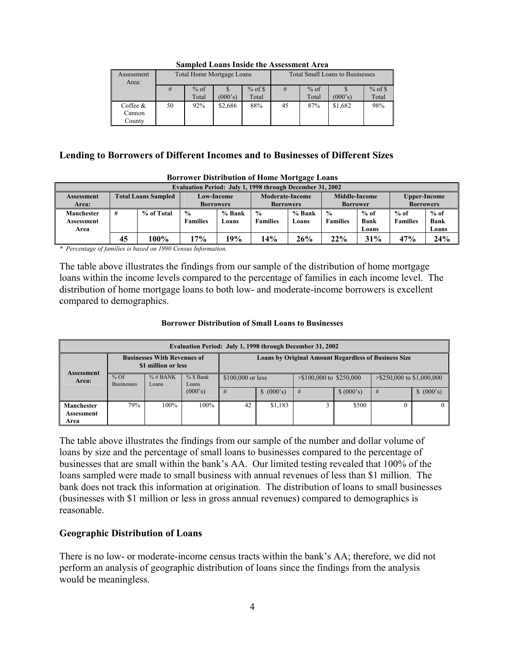| Assessment<br>Area: |    |                     | <b>Total Home Mortgage Loans</b> |       | <b>Total Small Loans to Businesses</b> |        |         |            |  |  |  |
|---------------------|----|---------------------|----------------------------------|-------|----------------------------------------|--------|---------|------------|--|--|--|
|                     | #  | $%$ of \$<br>$%$ of |                                  |       |                                        | $%$ of |         | $%$ of $\$ |  |  |  |
|                     |    | Total               | (000's)                          | Total |                                        | Total  | (000's) | Total      |  |  |  |
| Coffee $\&$         | 50 | 92%                 | \$2.686                          | 88%   | 45                                     | 87%    | \$1,682 | 98%        |  |  |  |
| Cannon              |    |                     |                                  |       |                                        |        |         |            |  |  |  |
| County              |    |                     |                                  |       |                                        |        |         |            |  |  |  |

#### **Sampled Loans Inside the Assessment Area**

#### **Lending to Borrowers of Different Incomes and to Businesses of Different Sizes**

| Evaluation Period: July 1, 1998 through December 31, 2002 |                            |            |                                       |                 |                                     |                 |                                         |                                |                                         |                                |  |
|-----------------------------------------------------------|----------------------------|------------|---------------------------------------|-----------------|-------------------------------------|-----------------|-----------------------------------------|--------------------------------|-----------------------------------------|--------------------------------|--|
| <b>Assessment</b><br>Area:                                | <b>Total Loans Sampled</b> |            | <b>Low-Income</b><br><b>Borrowers</b> |                 | Moderate-Income<br><b>Borrowers</b> |                 | <b>Middle-Income</b><br><b>Borrower</b> |                                | <b>Upper-Income</b><br><b>Borrowers</b> |                                |  |
| Manchester<br>Assessment<br>Area                          | #                          | % of Total | $\frac{0}{0}$<br><b>Families</b>      | % Bank<br>Loans | $\frac{0}{0}$<br><b>Families</b>    | % Bank<br>Loans | $\frac{0}{0}$<br><b>Families</b>        | $%$ of<br><b>Bank</b><br>Loans | $%$ of<br><b>Families</b>               | $%$ of<br><b>Bank</b><br>Loans |  |
|                                                           | 45                         | 100%       | 17%                                   | 19%             | 14%                                 | 26%             | 22%                                     | 31%                            | 47%                                     | 24%                            |  |

#### **Borrower Distribution of Home Mortgage Loans**

*\* Percentage of families is based on 1990 Census Information.* 

The table above illustrates the findings from our sample of the distribution of home mortgage loans within the income levels compared to the percentage of families in each income level. The distribution of home mortgage loans to both low- and moderate-income borrowers is excellent compared to demographics.

#### **Borrower Distribution of Small Loans to Businesses**

| Evaluation Period: July 1, 1998 through December 31, 2002 |                             |                                                           |                      |                    |                                                             |                           |            |                              |            |  |  |
|-----------------------------------------------------------|-----------------------------|-----------------------------------------------------------|----------------------|--------------------|-------------------------------------------------------------|---------------------------|------------|------------------------------|------------|--|--|
| <b>Assessment</b>                                         |                             | <b>Businesses With Revenues of</b><br>\$1 million or less |                      |                    | <b>Loans by Original Amount Regardless of Business Size</b> |                           |            |                              |            |  |  |
| Area:                                                     | $%$ Of<br><b>Businesses</b> | $%$ # BANK<br>Loans                                       | $%$ \$ Bank<br>Loans | $$100,000$ or less |                                                             | $> $100,000$ to \$250,000 |            | $>$ \$250,000 to \$1,000,000 |            |  |  |
|                                                           |                             |                                                           | (000's)              | #                  | \$ (000's)                                                  | #                         | \$ (000's) | #                            | \$ (000's) |  |  |
| <b>Manchester</b>                                         | 79%                         | $100\%$                                                   | 100%                 | 42                 | \$1,183                                                     |                           | \$500      |                              |            |  |  |
| Assessment<br>Area                                        |                             |                                                           |                      |                    |                                                             |                           |            |                              |            |  |  |

The table above illustrates the findings from our sample of the number and dollar volume of loans by size and the percentage of small loans to businesses compared to the percentage of businesses that are small within the bank's AA. Our limited testing revealed that 100% of the loans sampled were made to small business with annual revenues of less than \$1 million. The bank does not track this information at origination. The distribution of loans to small businesses (businesses with \$1 million or less in gross annual revenues) compared to demographics is reasonable.

#### **Geographic Distribution of Loans**

There is no low- or moderate-income census tracts within the bank's AA; therefore, we did not perform an analysis of geographic distribution of loans since the findings from the analysis would be meaningless.